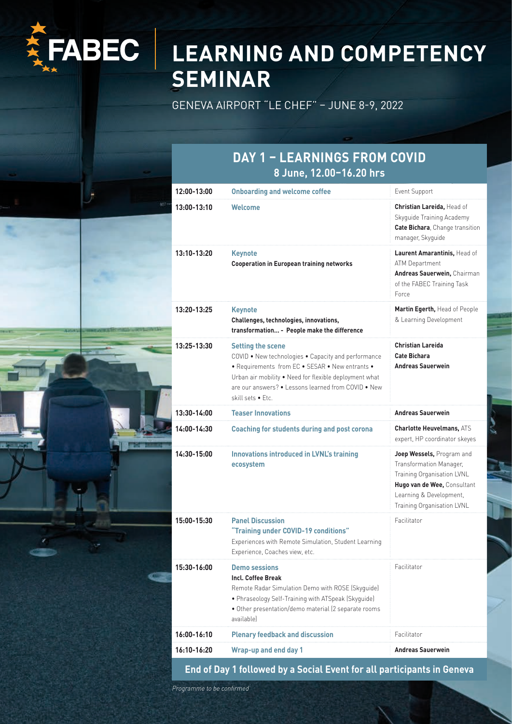

# **LEARNING AND COMPETENCY SEMINAR**

GENEVA AIRPORT "LE CHEF" – JUNE 8-9, 2022

#### **DAY 1 – LEARNINGS FROM COVID 8 June, 12.00–16.20 hrs**

| $12:00-13:00$ | <b>Onboarding and welcome coffee</b>                                                                                                                                                                                                                                     | Event Support                                                                                                                                                              |
|---------------|--------------------------------------------------------------------------------------------------------------------------------------------------------------------------------------------------------------------------------------------------------------------------|----------------------------------------------------------------------------------------------------------------------------------------------------------------------------|
| 13:00-13:10   | Welcome                                                                                                                                                                                                                                                                  | Christian Lareida, Head of<br>Skyguide Training Academy<br>Cate Bichara, Change transition<br>manager, Skyguide                                                            |
| 13:10-13:20   | <b>Keynote</b><br><b>Cooperation in European training networks</b>                                                                                                                                                                                                       | Laurent Amarantinis, Head of<br>ATM Department<br>Andreas Sauerwein, Chairman<br>of the FABEC Training Task<br>Force                                                       |
| 13:20-13:25   | <b>Keynote</b><br>Challenges, technologies, innovations,<br>transformation - People make the difference                                                                                                                                                                  | Martin Egerth, Head of People<br>& Learning Development                                                                                                                    |
| 13:25-13:30   | <b>Setting the scene</b><br>COVID . New technologies . Capacity and performance<br>• Requirements from EC • SESAR • New entrants •<br>Urban air mobility . Need for flexible deployment what<br>are our answers? • Lessons learned from COVID • New<br>skill sets • Etc. | <b>Christian Lareida</b><br><b>Cate Bichara</b><br><b>Andreas Sauerwein</b>                                                                                                |
| $13:30-14:00$ | <b>Teaser Innovations</b>                                                                                                                                                                                                                                                | <b>Andreas Sauerwein</b>                                                                                                                                                   |
| 14:00-14:30   | <b>Coaching for students during and post corona</b>                                                                                                                                                                                                                      | <b>Charlotte Heuvelmans, ATS</b><br>expert, HP coordinator skeyes                                                                                                          |
| 14:30-15:00   | <b>Innovations introduced in LVNL's training</b><br>ecosystem                                                                                                                                                                                                            | Joep Wessels, Program and<br>Transformation Manager,<br>Training Organisation LVNL<br>Hugo van de Wee, Consultant<br>Learning & Development,<br>Training Organisation LVNL |
| 15:00-15:30   | <b>Panel Discussion</b><br>"Training under COVID-19 conditions"<br>Experiences with Remote Simulation, Student Learning<br>Experience, Coaches view, etc.                                                                                                                | Facilitator                                                                                                                                                                |
| 15:30-16:00   | <b>Demo sessions</b><br>Incl. Coffee Break<br>Remote Radar Simulation Demo with ROSE (Skyquide)<br>• Phraseology Self-Training with ATSpeak (Skyguide)<br>· Other presentation/demo material (2 separate rooms<br>available)                                             | Facilitator                                                                                                                                                                |
| 16:00-16:10   | <b>Plenary feedback and discussion</b>                                                                                                                                                                                                                                   | Facilitator                                                                                                                                                                |
| 16:10-16:20   | <b>Wrap-up and end day 1</b>                                                                                                                                                                                                                                             | <b>Andreas Sauerwein</b>                                                                                                                                                   |

**End of Day 1 followed by a Social Event for all participants in Geneva**

Programme to be confirmed